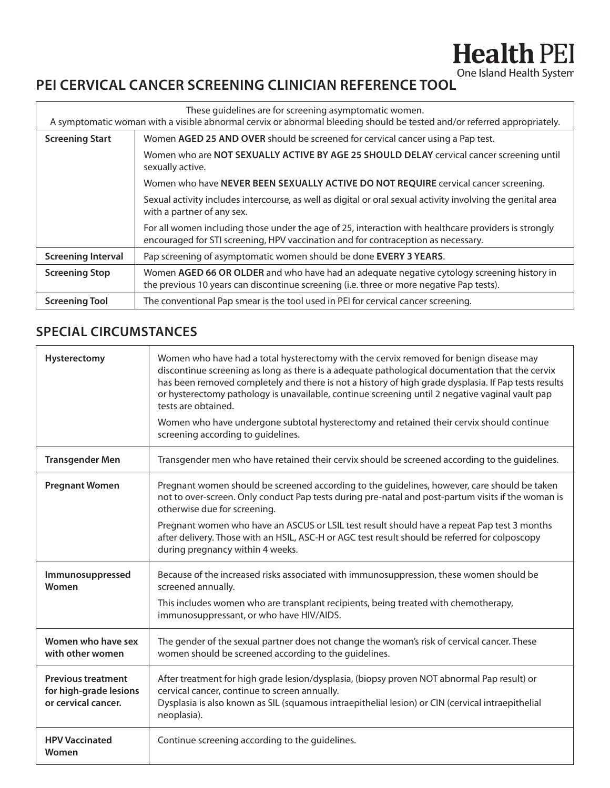## **PEI CERVICAL CANCER SCREENING CLINICIAN REFERENCE TOOL** One Island Health System

| These quidelines are for screening asymptomatic women.<br>A symptomatic woman with a visible abnormal cervix or abnormal bleeding should be tested and/or referred appropriately. |                                                                                                                                                                                           |  |  |  |  |  |
|-----------------------------------------------------------------------------------------------------------------------------------------------------------------------------------|-------------------------------------------------------------------------------------------------------------------------------------------------------------------------------------------|--|--|--|--|--|
| <b>Screening Start</b>                                                                                                                                                            | Women AGED 25 AND OVER should be screened for cervical cancer using a Pap test.                                                                                                           |  |  |  |  |  |
|                                                                                                                                                                                   | Women who are NOT SEXUALLY ACTIVE BY AGE 25 SHOULD DELAY cervical cancer screening until<br>sexually active.                                                                              |  |  |  |  |  |
|                                                                                                                                                                                   | Women who have NEVER BEEN SEXUALLY ACTIVE DO NOT REQUIRE cervical cancer screening.                                                                                                       |  |  |  |  |  |
|                                                                                                                                                                                   | Sexual activity includes intercourse, as well as digital or oral sexual activity involving the genital area<br>with a partner of any sex.                                                 |  |  |  |  |  |
|                                                                                                                                                                                   | For all women including those under the age of 25, interaction with healthcare providers is strongly<br>encouraged for STI screening, HPV vaccination and for contraception as necessary. |  |  |  |  |  |
| <b>Screening Interval</b>                                                                                                                                                         | Pap screening of asymptomatic women should be done EVERY 3 YEARS.                                                                                                                         |  |  |  |  |  |
| <b>Screening Stop</b>                                                                                                                                                             | Women AGED 66 OR OLDER and who have had an adequate negative cytology screening history in<br>the previous 10 years can discontinue screening (i.e. three or more negative Pap tests).    |  |  |  |  |  |
| <b>Screening Tool</b>                                                                                                                                                             | The conventional Pap smear is the tool used in PEI for cervical cancer screening.                                                                                                         |  |  |  |  |  |

## **SPECIAL CIRCUMSTANCES**

| Hysterectomy                                                               | Women who have had a total hysterectomy with the cervix removed for benign disease may<br>discontinue screening as long as there is a adequate pathological documentation that the cervix<br>has been removed completely and there is not a history of high grade dysplasia. If Pap tests results<br>or hysterectomy pathology is unavailable, continue screening until 2 negative vaginal vault pap<br>tests are obtained.<br>Women who have undergone subtotal hysterectomy and retained their cervix should continue<br>screening according to guidelines. |
|----------------------------------------------------------------------------|---------------------------------------------------------------------------------------------------------------------------------------------------------------------------------------------------------------------------------------------------------------------------------------------------------------------------------------------------------------------------------------------------------------------------------------------------------------------------------------------------------------------------------------------------------------|
| <b>Transgender Men</b>                                                     | Transgender men who have retained their cervix should be screened according to the guidelines.                                                                                                                                                                                                                                                                                                                                                                                                                                                                |
| <b>Pregnant Women</b>                                                      | Pregnant women should be screened according to the guidelines, however, care should be taken<br>not to over-screen. Only conduct Pap tests during pre-natal and post-partum visits if the woman is<br>otherwise due for screening.                                                                                                                                                                                                                                                                                                                            |
|                                                                            | Pregnant women who have an ASCUS or LSIL test result should have a repeat Pap test 3 months<br>after delivery. Those with an HSIL, ASC-H or AGC test result should be referred for colposcopy<br>during pregnancy within 4 weeks.                                                                                                                                                                                                                                                                                                                             |
| Immunosuppressed<br>Women                                                  | Because of the increased risks associated with immunosuppression, these women should be<br>screened annually.                                                                                                                                                                                                                                                                                                                                                                                                                                                 |
|                                                                            | This includes women who are transplant recipients, being treated with chemotherapy,<br>immunosuppressant, or who have HIV/AIDS.                                                                                                                                                                                                                                                                                                                                                                                                                               |
| Women who have sex<br>with other women                                     | The gender of the sexual partner does not change the woman's risk of cervical cancer. These<br>women should be screened according to the guidelines.                                                                                                                                                                                                                                                                                                                                                                                                          |
| <b>Previous treatment</b><br>for high-grade lesions<br>or cervical cancer. | After treatment for high grade lesion/dysplasia, (biopsy proven NOT abnormal Pap result) or<br>cervical cancer, continue to screen annually.<br>Dysplasia is also known as SIL (squamous intraepithelial lesion) or CIN (cervical intraepithelial<br>neoplasia).                                                                                                                                                                                                                                                                                              |
| <b>HPV Vaccinated</b><br>Women                                             | Continue screening according to the guidelines.                                                                                                                                                                                                                                                                                                                                                                                                                                                                                                               |